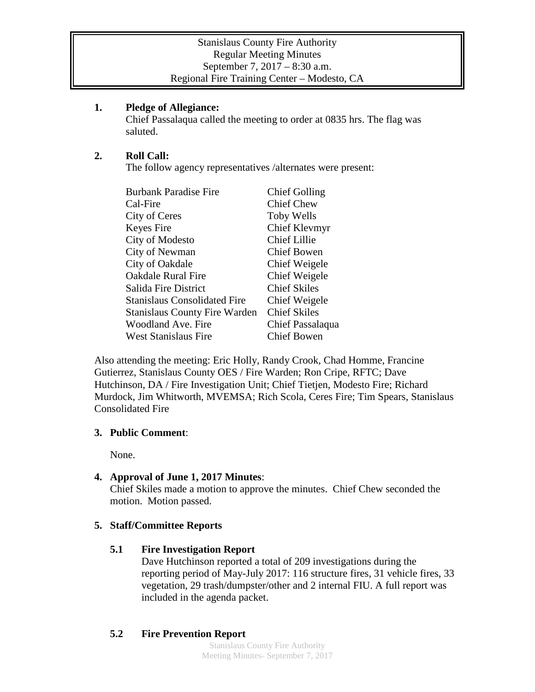#### **1. Pledge of Allegiance:**

Chief Passalaqua called the meeting to order at 0835 hrs. The flag was saluted.

### **2. Roll Call:**

The follow agency representatives /alternates were present:

| <b>Burbank Paradise Fire</b>         | <b>Chief Golling</b> |
|--------------------------------------|----------------------|
| Cal-Fire                             | <b>Chief Chew</b>    |
| City of Ceres                        | Toby Wells           |
| Keyes Fire                           | Chief Klevmyr        |
| City of Modesto                      | <b>Chief Lillie</b>  |
| City of Newman                       | Chief Bowen          |
| City of Oakdale                      | Chief Weigele        |
| <b>Oakdale Rural Fire</b>            | Chief Weigele        |
| Salida Fire District                 | <b>Chief Skiles</b>  |
| <b>Stanislaus Consolidated Fire</b>  | Chief Weigele        |
| <b>Stanislaus County Fire Warden</b> | <b>Chief Skiles</b>  |
| Woodland Ave. Fire                   | Chief Passalaqua     |
| <b>West Stanislaus Fire</b>          | <b>Chief Bowen</b>   |

Also attending the meeting: Eric Holly, Randy Crook, Chad Homme, Francine Gutierrez, Stanislaus County OES / Fire Warden; Ron Cripe, RFTC; Dave Hutchinson, DA / Fire Investigation Unit; Chief Tietjen, Modesto Fire; Richard Murdock, Jim Whitworth, MVEMSA; Rich Scola, Ceres Fire; Tim Spears, Stanislaus Consolidated Fire

### **3. Public Comment**:

None.

### **4. Approval of June 1, 2017 Minutes**:

Chief Skiles made a motion to approve the minutes. Chief Chew seconded the motion. Motion passed.

### **5. Staff/Committee Reports**

### **5.1 Fire Investigation Report**

Dave Hutchinson reported a total of 209 investigations during the reporting period of May-July 2017: 116 structure fires, 31 vehicle fires, 33 vegetation, 29 trash/dumpster/other and 2 internal FIU. A full report was included in the agenda packet.

# **5.2 Fire Prevention Report**

Stanislaus County Fire Authority Meeting Minutes- September 7, 2017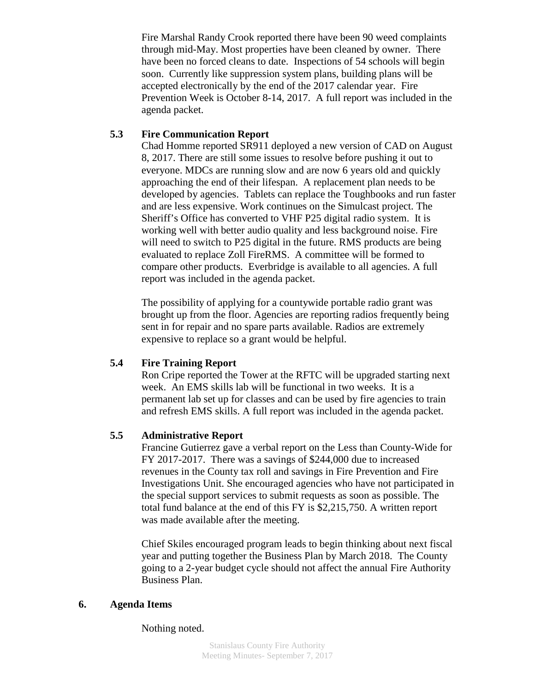Fire Marshal Randy Crook reported there have been 90 weed complaints through mid-May. Most properties have been cleaned by owner. There have been no forced cleans to date. Inspections of 54 schools will begin soon. Currently like suppression system plans, building plans will be accepted electronically by the end of the 2017 calendar year. Fire Prevention Week is October 8-14, 2017. A full report was included in the agenda packet.

### **5.3 Fire Communication Report**

Chad Homme reported SR911 deployed a new version of CAD on August 8, 2017. There are still some issues to resolve before pushing it out to everyone. MDCs are running slow and are now 6 years old and quickly approaching the end of their lifespan. A replacement plan needs to be developed by agencies. Tablets can replace the Toughbooks and run faster and are less expensive. Work continues on the Simulcast project. The Sheriff's Office has converted to VHF P25 digital radio system. It is working well with better audio quality and less background noise. Fire will need to switch to P25 digital in the future. RMS products are being evaluated to replace Zoll FireRMS. A committee will be formed to compare other products. Everbridge is available to all agencies. A full report was included in the agenda packet.

The possibility of applying for a countywide portable radio grant was brought up from the floor. Agencies are reporting radios frequently being sent in for repair and no spare parts available. Radios are extremely expensive to replace so a grant would be helpful.

### **5.4 Fire Training Report**

Ron Cripe reported the Tower at the RFTC will be upgraded starting next week. An EMS skills lab will be functional in two weeks. It is a permanent lab set up for classes and can be used by fire agencies to train and refresh EMS skills. A full report was included in the agenda packet.

# **5.5 Administrative Report**

Francine Gutierrez gave a verbal report on the Less than County-Wide for FY 2017-2017. There was a savings of \$244,000 due to increased revenues in the County tax roll and savings in Fire Prevention and Fire Investigations Unit. She encouraged agencies who have not participated in the special support services to submit requests as soon as possible. The total fund balance at the end of this FY is \$2,215,750. A written report was made available after the meeting.

Chief Skiles encouraged program leads to begin thinking about next fiscal year and putting together the Business Plan by March 2018. The County going to a 2-year budget cycle should not affect the annual Fire Authority Business Plan.

### **6. Agenda Items**

Nothing noted.